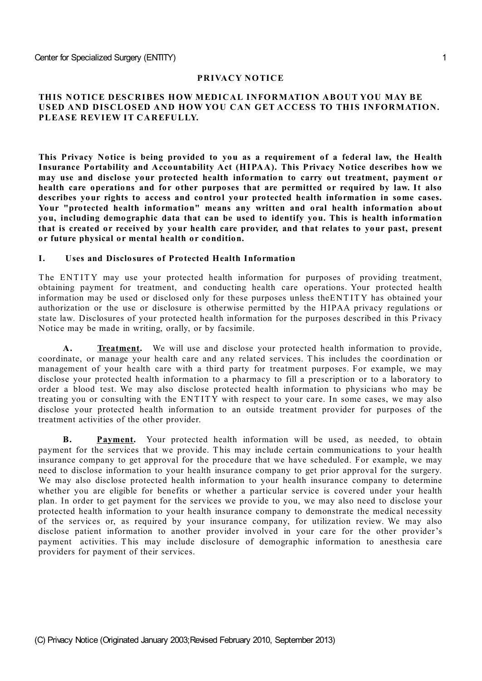#### **PRIVACY NOTICE**

### **THIS NOTICE DESCRIBES HOW MEDICAL INFORMATION ABOUT YOU MAY BE USED AND DISCLOSED AND HOW YOU CAN GET ACCESS TO THIS INFORMATION. PLEASE REVIEW IT CAREFULLY.**

**This Privacy Notice is being provided to you as a requirement of a federal law, the Health Insurance Portability and Accountability Act (HIPAA). This Privacy Notice describes how we may use and disclose your protected health information to carry out treatment, payment or health care operations and for other purposes that are permitted or required by law. It also describes your rights to access and control your protected health information in some cases. Your "protected health information" means any written and oral health information about you, including demographic data that can be used to identify you. This is health information that is created or received by your health care provider, and that relates to your past, present or future physical or mental health or condition.**

#### **I. Uses and Disclosures of Protected Health Information**

The ENTITY may use your protected health information for purposes of providing treatment, obtaining payment for treatment, and conducting health care operations. Your protected health information may be used or disclosed only for these purposes unless theENT ITY has obtained your authorization or the use or disclosure is otherwise permitted by the HIPAA privacy regulations or state law. Disclosures of your protected health information for the purposes described in this Privacy Notice may be made in writing, orally, or by facsimile.

**A. Treatment.** We will use and disclose your protected health information to provide, coordinate, or manage your health care and any related services. T his includes the coordination or management of your health care with a third party for treatment purposes. For example, we may disclose your protected health information to a pharmacy to fill a prescription or to a laboratory to order a blood test. We may also disclose protected health information to physicians who may be treating you or consulting with the ENT ITY with respect to your care. In some cases, we may also disclose your protected health information to an outside treatment provider for purposes of the treatment activities of the other provider.

**B. Payment.** Your protected health information will be used, as needed, to obtain payment for the services that we provide. T his may include certain communications to your health insurance company to get approval for the procedure that we have scheduled. For example, we may need to disclose information to your health insurance company to get prior approval for the surgery. We may also disclose protected health information to your health insurance company to determine whether you are eligible for benefits or whether a particular service is covered under your health plan. In order to get payment for the services we provide to you, we may also need to disclose your protected health information to your health insurance company to demonstrate the medical necessity of the services or, as required by your insurance company, for utilization review. We may also disclose patient information to another provider involved in your care for the other provider's payment activities. This may include disclosure of demographic information to anesthesia care providers for payment of their services.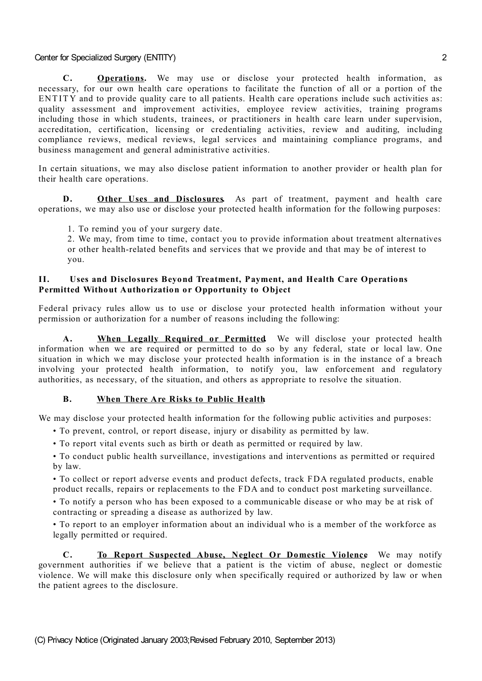**C. Operations.** We may use or disclose your protected health information, as necessary, for our own health care operations to facilitate the function of all or a portion of the ENTITY and to provide quality care to all patients. Health care operations include such activities as: quality assessment and improvement activities, employee review activities, training programs including those in which students, trainees, or practitioners in health care learn under supervision, accreditation, certification, licensing or credentialing activities, review and auditing, including compliance reviews, medical reviews, legal services and maintaining compliance programs, and business management and general administrative activities.

In certain situations, we may also disclose patient information to another provider or health plan for their health care operations.

**D. Other Uses and Disclosures.** As part of treatment, payment and health care operations, we may also use or disclose your protected health information for the following purposes:

1. To remind you of your surgery date.

2. We may, from time to time, contact you to provide information about treatment alternatives or other health-related benefits and services that we provide and that may be of interest to you.

### **II. Uses and Disclosures Beyond Treatment, Payment, and Health Care Operations Permitted Without Authorization or Opportunity to Object**

Federal privacy rules allow us to use or disclose your protected health information without your permission or authorization for a number of reasons including the following:

**A. When Legally Required or Permitted.** We will disclose your protected health information when we are required or permitted to do so by any federal, state or local law. One situation in which we may disclose your protected health information is in the instance of a breach involving your protected health information, to notify you, law enforcement and regulatory authorities, as necessary, of the situation, and others as appropriate to resolve the situation.

### **B. When There Are Risks to Public Health.**

We may disclose your protected health information for the following public activities and purposes:

- To prevent, control, or report disease, injury or disability as permitted by law.
- To report vital events such as birth or death as permitted or required by law.
- To conduct public health surveillance, investigations and interventions as permitted or required by law.

• To collect or report adverse events and product defects, track FDA regulated products, enable product recalls, repairs or replacements to the FDA and to conduct post marketing surveillance.

• To notify a person who has been exposed to a communicable disease or who may be at risk of contracting or spreading a disease as authorized by law.

• To report to an employer information about an individual who is a member of the workforce as legally permitted or required.

**C. To Report Suspected Abuse, Neglect Or Domestic Violence.** We may notify government authorities if we believe that a patient is the victim of abuse, neglect or domestic violence. We will make this disclosure only when specifically required or authorized by law or when the patient agrees to the disclosure.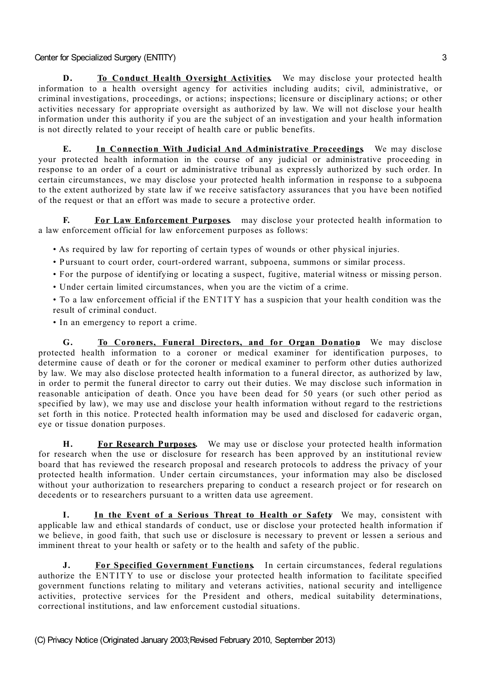**D. To Conduct Health Oversight Activities.** We may disclose your protected health information to a health oversight agency for activities including audits; civil, administrative, or criminal investigations, proceedings, or actions; inspections; licensure or disciplinary actions; or other activities necessary for appropriate oversight as authorized by law. We will not disclose your health information under this authority if you are the subject of an investigation and your health information is not directly related to your receipt of health care or public benefits.

**E. In Connection With Judicial And Administrative Proceedings.** We may disclose your protected health information in the course of any judicial or administrative proceeding in response to an order of a court or administrative tribunal as expressly authorized by such order. In certain circumstances, we may disclose your protected health information in response to a subpoena to the extent authorized by state law if we receive satisfactory assurances that you have been notified of the request or that an effort was made to secure a protective order.

**F. For Law Enforcement Purposes.** may disclose your protected health information to a law enforcement official for law enforcement purposes as follows:

• As required by law for reporting of certain types of wounds or other physical injuries.

- Pursuant to court order, court-ordered warrant, subpoena, summons or similar process.
- For the purpose of identifying or locating a suspect, fugitive, material witness or missing person.
- Under certain limited circumstances, when you are the victim of a crime.

• To a law enforcement official if the ENT ITY has a suspicion that your health condition was the result of criminal conduct.

• In an emergency to report a crime.

**G. To Coroners, Funeral Directors, and for Organ Donation.** We may disclose protected health information to a coroner or medical examiner for identification purposes, to determine cause of death or for the coroner or medical examiner to perform other duties authorized by law. We may also disclose protected health information to a funeral director, as authorized by law, in order to permit the funeral director to carry out their duties. We may disclose such information in reasonable anticipation of death. Once you have been dead for 50 years (or such other period as specified by law), we may use and disclose your health information without regard to the restrictions set forth in this notice. Protected health information may be used and disclosed for cadaveric organ, eye or tissue donation purposes.

**H. For Research Purposes.** We may use or disclose your protected health information for research when the use or disclosure for research has been approved by an institutional review board that has reviewed the research proposal and research protocols to address the privacy of your protected health information. Under certain circumstances, your information may also be disclosed without your authorization to researchers preparing to conduct a research project or for research on decedents or to researchers pursuant to a written data use agreement.

**I. In the Event of a Serious Threat to Health or Safety.** We may, consistent with applicable law and ethical standards of conduct, use or disclose your protected health information if we believe, in good faith, that such use or disclosure is necessary to prevent or lessen a serious and imminent threat to your health or safety or to the health and safety of the public.

**J. For Specified Government Functions.** In certain circumstances, federal regulations authorize the ENT ITY to use or disclose your protected health information to facilitate specified government functions relating to military and veterans activities, national security and intelligence activities, protective services for the President and others, medical suitability determinations, correctional institutions, and law enforcement custodial situations.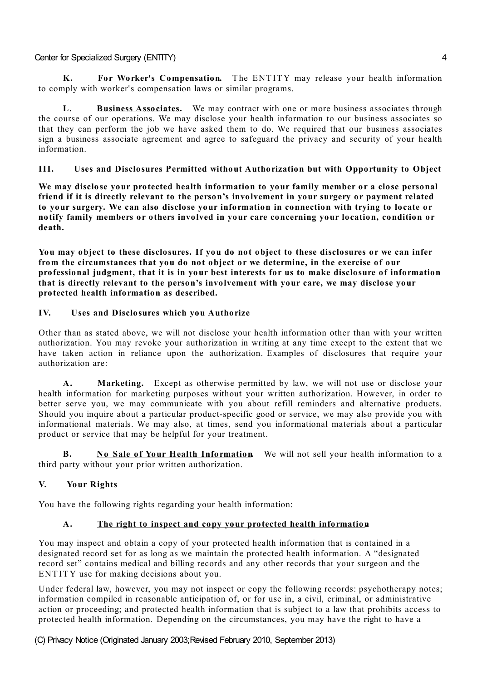**K. For Worker's Compensation.** T he ENT ITY may release your health information to comply with worker's compensation laws or similar programs.

**L. Business Associates.** We may contract with one or more business associates through the course of our operations. We may disclose your health information to our business associates so that they can perform the job we have asked them to do. We required that our business associates sign a business associate agreement and agree to safeguard the privacy and security of your health information.

## **III. Uses and Disclosures Permitted without Authorization but with Opportunity to Object**

**We may disclose your protected health information to your family member or a close personal friend if it is directly relevant to the person's involvement in your surgery or payment related to your surgery. We can also disclose your information in connection with trying to locate or notify family members or others involved in your care concerning your location, condition or death.**

**You may object to these disclosures. If you do not object to these disclosures or we can infer from the circumstances that you do not object or we determine, in the exercise of our professional judgment, that it is in your best interests for us to make disclosure of information that is directly relevant to the person's involvement with your care, we may disclose your protected health information as described.**

## **IV. Uses and Disclosures which you Authorize**

Other than as stated above, we will not disclose your health information other than with your written authorization. You may revoke your authorization in writing at any time except to the extent that we have taken action in reliance upon the authorization. Examples of disclosures that require your authorization are:

**A. Marketing.** Except as otherwise permitted by law, we will not use or disclose your health information for marketing purposes without your written authorization. However, in order to better serve you, we may communicate with you about refill reminders and alternative products. Should you inquire about a particular product-specific good or service, we may also provide you with informational materials. We may also, at times, send you informational materials about a particular product or service that may be helpful for your treatment.

**B. No Sale of Your Health Information.** We will not sell your health information to a third party without your prior written authorization.

# **V. Your Rights**

You have the following rights regarding your health information:

# **A. The right to inspect and copy your protected health information.**

You may inspect and obtain a copy of your protected health information that is contained in a designated record set for as long as we maintain the protected health information. A "designated record set" contains medical and billing records and any other records that your surgeon and the ENTITY use for making decisions about you.

Under federal law, however, you may not inspect or copy the following records: psychotherapy notes; information compiled in reasonable anticipation of, or for use in, a civil, criminal, or administrative action or proceeding; and protected health information that is subject to a law that prohibits access to protected health information. Depending on the circumstances, you may have the right to have a

(C) Privacy Notice (Originated January 2003;Revised February 2010, September 2013)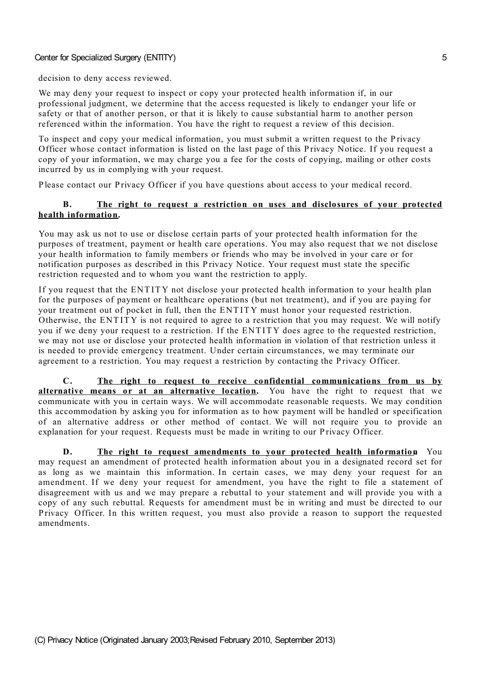decision to deny access reviewed.

We may deny your request to inspect or copy your protected health information if, in our professional judgment, we determine that the access requested is likely to endanger your life or safety or that of another person, or that it is likely to cause substantial harm to another person referenced within the information. You have the right to request a review of this decision.

To inspect and copy your medical information, you must submit a written request to the P rivacy Officer whose contact information is listed on the last page of this P rivacy Notice. If you request a copy of your information, we may charge you a fee for the costs of copying, mailing or other costs incurred by us in complying with your request.

P lease contact our P rivacy Officer if you have questions about access to your medical record.

### **B. The right to request a restriction on uses and disclosures of your protected health information.**

You may ask us not to use or disclose certain parts of your protected health information for the purposes of treatment, payment or health care operations. You may also request that we not disclose your health information to family members or friends who may be involved in your care or for notification purposes as described in this Privacy Notice. Your request must state the specific restriction requested and to whom you want the restriction to apply.

If you request that the ENT ITY not disclose your protected health information to your health plan for the purposes of payment or healthcare operations (but not treatment), and if you are paying for your treatment out of pocket in full, then the ENT ITY must honor your requested restriction. Otherwise, the ENT ITY is not required to agree to a restriction that you may request. We will notify you if we deny your request to a restriction. If the ENT ITY does agree to the requested restriction, we may not use or disclose your protected health information in violation of that restriction unless it is needed to provide emergency treatment. Under certain circumstances, we may terminate our agreement to a restriction. You may request a restriction by contacting the Privacy Officer.

**C. The right to request to receive confidential communications from us by alternative means or at an alternative location.** You have the right to request that we communicate with you in certain ways. We will accommodate reasonable requests. We may condition this accommodation by asking you for information as to how payment will be handled or specification of an alternative address or other method of contact. We will not require you to provide an explanation for your request. Requests must be made in writing to our Privacy Officer.

**D. The right to request amendments to your protected health information.** You may request an amendment of protected health information about you in a designated record set for as long as we maintain this information. In certain cases, we may deny your request for an amendment. If we deny your request for amendment, you have the right to file a statement of disagreement with us and we may prepare a rebuttal to your statement and will provide you with a copy of any such rebuttal. Requests for amendment must be in writing and must be directed to our P rivacy Officer. In this written request, you must also provide a reason to support the requested amendments.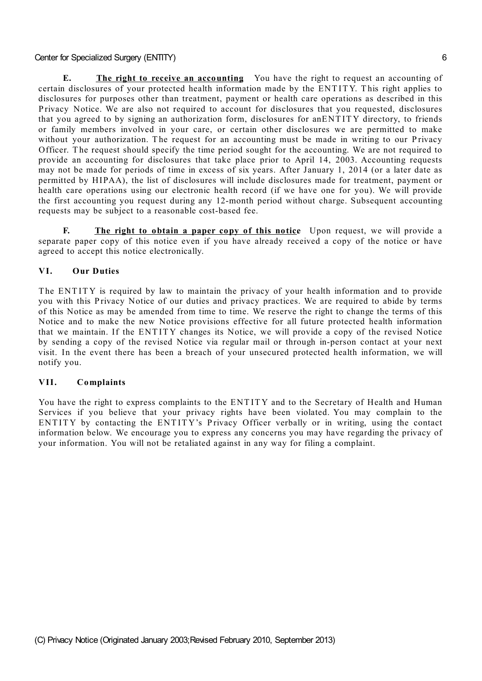**E. The right to receive an accounting.** You have the right to request an accounting of certain disclosures of your protected health information made by the ENT ITY. T his right applies to disclosures for purposes other than treatment, payment or health care operations as described in this P rivacy Notice. We are also not required to account for disclosures that you requested, disclosures that you agreed to by signing an authorization form, disclosures for anENT ITY directory, to friends or family members involved in your care, or certain other disclosures we are permitted to make without your authorization. The request for an accounting must be made in writing to our Privacy Officer. The request should specify the time period sought for the accounting. We are not required to provide an accounting for disclosures that take place prior to April 14, 2003. Accounting requests may not be made for periods of time in excess of six years. After January 1, 2014 (or a later date as permitted by HIPAA), the list of disclosures will include disclosures made for treatment, payment or health care operations using our electronic health record (if we have one for you). We will provide the first accounting you request during any 12-month period without charge. Subsequent accounting requests may be subject to a reasonable cost-based fee.

**F. The right to obtain a paper copy of this notice.** Upon request, we will provide a separate paper copy of this notice even if you have already received a copy of the notice or have agreed to accept this notice electronically.

### **VI. Our Duties**

The ENTITY is required by law to maintain the privacy of your health information and to provide you with this Privacy Notice of our duties and privacy practices. We are required to abide by terms of this Notice as may be amended from time to time. We reserve the right to change the terms of this Notice and to make the new Notice provisions effective for all future protected health information that we maintain. If the ENT ITY changes its Notice, we will provide a copy of the revised Notice by sending a copy of the revised Notice via regular mail or through in-person contact at your next visit. In the event there has been a breach of your unsecured protected health information, we will notify you.

#### **VII. Complaints**

You have the right to express complaints to the ENT ITY and to the Secretary of Health and Human Services if you believe that your privacy rights have been violated. You may complain to the ENTITY by contacting the ENTITY's Privacy Officer verbally or in writing, using the contact information below. We encourage you to express any concerns you may have regarding the privacy of your information. You will not be retaliated against in any way for filing a complaint.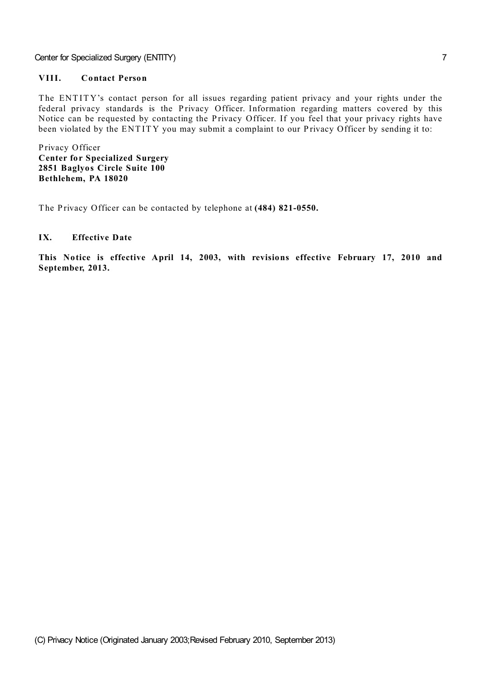## **VIII. Contact Person**

The ENTITY's contact person for all issues regarding patient privacy and your rights under the federal privacy standards is the Privacy Officer. Information regarding matters covered by this Notice can be requested by contacting the Privacy Officer. If you feel that your privacy rights have been violated by the ENTITY you may submit a complaint to our Privacy Officer by sending it to:

P rivacy Officer **Center for Specialized Surgery 2851 Baglyos Circle Suite 100 Bethlehem, PA 18020**

The Privacy Officer can be contacted by telephone at (484) 821-0550.

### **IX. Effective Date**

**This Notice is effective April 14, 2003, with revisions effective February 17, 2010 and September, 2013.**